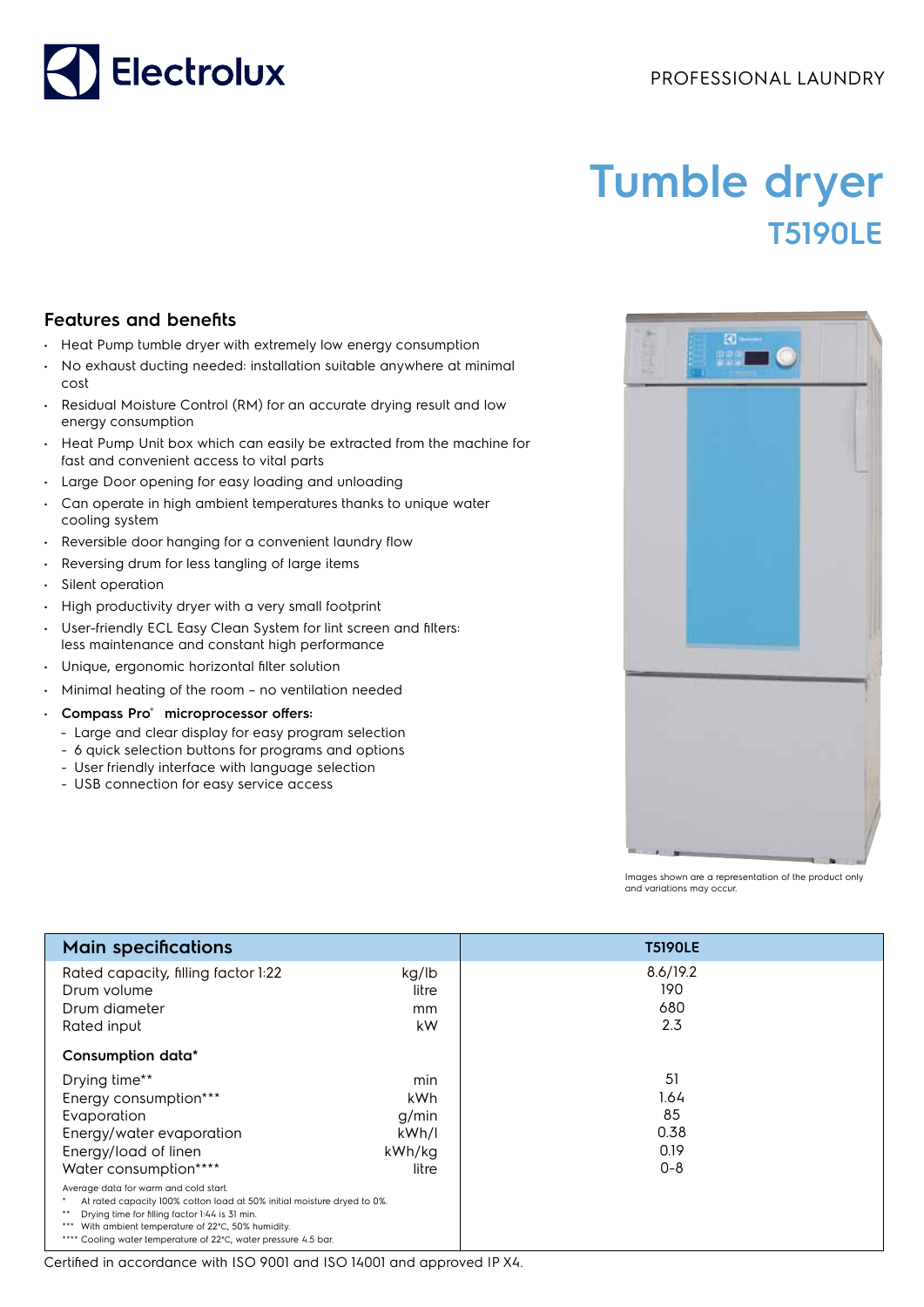## PROFESSIONAL LAUNDRY



## **Tumble dryer T5190LE**

## **Features and benefits**

- Heat Pump tumble dryer with extremely low energy consumption
- No exhaust ducting needed: installation suitable anywhere at minimal cost
- Residual Moisture Control (RM) for an accurate drying result and low energy consumption
- Heat Pump Unit box which can easily be extracted from the machine for fast and convenient access to vital parts
- Large Door opening for easy loading and unloading
- Can operate in high ambient temperatures thanks to unique water cooling system
- Reversible door hanging for a convenient laundry flow
- Reversing drum for less tangling of large items
- Silent operation
- High productivity dryer with a very small footprint
- User-friendly ECL Easy Clean System for lint screen and filters: less maintenance and constant high performance
- Unique, ergonomic horizontal filter solution
- Minimal heating of the room no ventilation needed
- **Compass Pro® microprocessor offers:**
	- Large and clear display for easy program selection
	- 6 quick selection buttons for programs and options
	- User friendly interface with language selection
	- USB connection for easy service access



Images shown are a representation of the product only and variations may occur.

| <b>Main specifications</b>                                                                            |        | <b>T5190LE</b> |
|-------------------------------------------------------------------------------------------------------|--------|----------------|
| Rated capacity, filling factor 1:22                                                                   | kg/lb  | 8.6/19.2       |
| Drum volume                                                                                           | litre  | 190            |
| Drum diameter                                                                                         | mm     | 680            |
| Rated input                                                                                           | kW     | 2.3            |
| Consumption data*                                                                                     |        |                |
| Drying time**                                                                                         | min    | 51             |
| Energy consumption***                                                                                 | kWh    | 1.64           |
| Evaporation                                                                                           | g/min  | 85             |
| Energy/water evaporation                                                                              | kWh/l  | 0.38           |
| Energy/load of linen                                                                                  | kWh/kg | 0.19           |
| Water consumption****                                                                                 | litre  | $0 - 8$        |
| Average data for warm and cold start.                                                                 |        |                |
| At rated capacity 100% cotton load at 50% initial moisture dryed to 0%.<br>$***$                      |        |                |
| Drying time for filling factor 1:44 is 31 min.<br>*** With ambient temperature of 22°C, 50% humidity. |        |                |
| **** Cooling water temperature of 22°C, water pressure 4.5 bar.                                       |        |                |

Certified in accordance with ISO 9001 and ISO 14001 and approved IP X4.